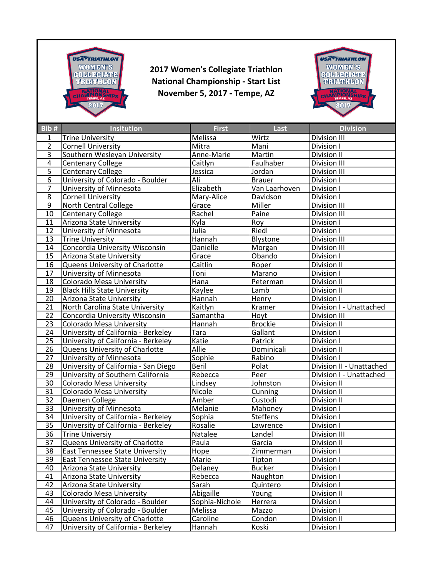

**2017 Women's Collegiate Triathlon National Championship - Start List November 5, 2017 - Tempe, AZ**



| Bib#            | <b>Insitution</b>                      | <b>First</b>   | <b>Last</b>     | <b>Division</b>          |
|-----------------|----------------------------------------|----------------|-----------------|--------------------------|
| 1               | <b>Trine University</b>                | Melissa        | Wirtz           | Division III             |
| $\overline{2}$  | <b>Cornell University</b>              | Mitra          | Mani            | Division I               |
| $\overline{3}$  | Southern Wesleyan University           | Anne-Marie     | Martin          | Division II              |
| $\overline{4}$  | <b>Centenary College</b>               | Caitlyn        | Faulhaber       | Division III             |
| $\overline{5}$  | <b>Centenary College</b>               | Jessica        | Jordan          | Division III             |
| 6               | University of Colorado - Boulder       | Ali            | <b>Brauer</b>   | Division I               |
| $\overline{7}$  | University of Minnesota                | Elizabeth      | Van Laarhoven   | Division I               |
| $\overline{8}$  | <b>Cornell University</b>              | Mary-Alice     | Davidson        | Division I               |
| $\overline{9}$  | North Central College                  | Grace          | Miller          | Division III             |
| 10              | Centenary College                      | Rachel         | Paine           | Division III             |
| 11              | Arizona State University               | Kyla           | Roy             | Division I               |
| 12              | University of Minnesota                | Julia          | Riedl           | Division I               |
| 13              | <b>Trine University</b>                | Hannah         | Blystone        | Division III             |
| 14              | Concordia University Wisconsin         | Danielle       | Morgan          | Division III             |
| 15              | Arizona State University               | Grace          | Obando          | Division I               |
| 16              | Queens University of Charlotte         | Caitlin        | Roper           | Division II              |
| $\overline{17}$ | University of Minnesota                | Toni           | Marano          | Division I               |
| 18              | <b>Colorado Mesa University</b>        | Hana           | Peterman        | Division II              |
| 19              | <b>Black Hills State University</b>    | Kaylee         | Lamb            | Division II              |
| 20              | Arizona State University               | Hannah         | Henry           | Division I               |
| 21              | North Carolina State University        | Kaitlyn        | Kramer          | Division I - Unattached  |
| 22              | Concordia University Wisconsin         | Samantha       | Hoyt            | Division III             |
| 23              | Colorado Mesa University               | Hannah         | <b>Brockie</b>  | Division II              |
| 24              | University of California - Berkeley    | Tara           | Gallant         | Division I               |
| $\overline{25}$ | University of California - Berkeley    | Katie          | Patrick         | Division I               |
| 26              | <b>Queens University of Charlotte</b>  | Allie          | Dominicali      | Division II              |
| 27              | University of Minnesota                | Sophie         | Rabino          | Division I               |
| 28              | University of California - San Diego   | <b>Beril</b>   | Polat           | Division II - Unattached |
| 29              | University of Southern California      | Rebecca        | Peer            | Division I - Unattached  |
| 30              | <b>Colorado Mesa University</b>        | Lindsey        | Johnston        | Division II              |
| 31              | <b>Colorado Mesa University</b>        | Nicole         | Cunning         | Division II              |
| 32              | Daemen College                         | Amber          | Custodi         | Division II              |
| $\overline{33}$ | University of Minnesota                | Melanie        | Mahoney         | Division I               |
| $\overline{34}$ | University of California - Berkeley    | Sophia         | <b>Steffens</b> | Division I               |
| 35              | University of California - Berkeley    | Rosalie        | Lawrence        | Division I               |
| $\overline{36}$ | <b>Trine Universiy</b>                 | Natalee        | Landel          | Division III             |
| $\overline{37}$ | <b>Queens University of Charlotte</b>  | Paula          | Garcia          | Division II              |
| 38              | <b>East Tennessee State University</b> | Hope           | Zimmerman       | Division I               |
| 39              | <b>East Tennessee State University</b> | Marie          | Tipton          | Division I               |
| 40              | Arizona State University               | Delaney        | <b>Bucker</b>   | Division I               |
| 41              | Arizona State University               | Rebecca        | Naughton        | Division I               |
| 42              | Arizona State University               | Sarah          | Quintero        | Division I               |
| 43              | <b>Colorado Mesa University</b>        | Abigaille      | Young           | Division II              |
| 44              | University of Colorado - Boulder       | Sophia-Nichole | Herrera         | Division I               |
| 45              | University of Colorado - Boulder       | Melissa        | Mazzo           | Division I               |
| 46              | Queens University of Charlotte         | Caroline       | Condon          | Division II              |
| 47              | University of California - Berkeley    | Hannah         | Koski           | Division I               |